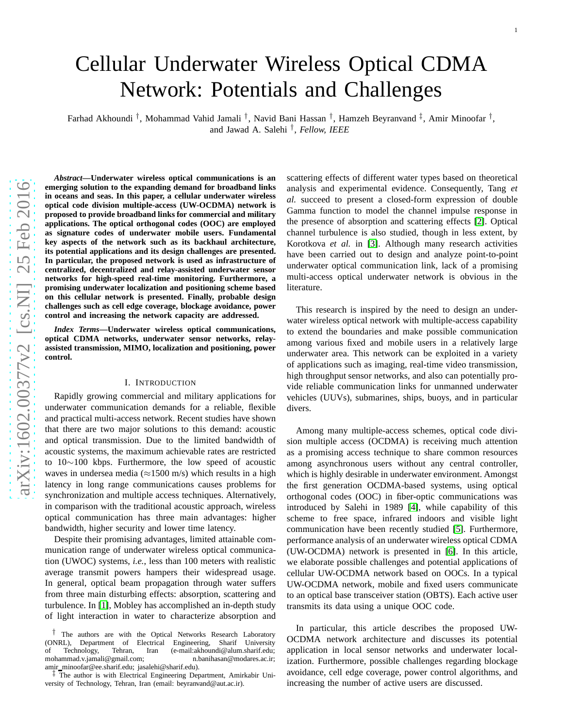Farhad Akhoundi <sup>†</sup>, Mohammad Vahid Jamali <sup>†</sup>, Navid Bani Hassan <sup>†</sup>, Hamzeh Beyranvand <sup>‡</sup>, Amir Minoofar <sup>†</sup>, and Jawad A. Salehi † , *Fellow, IEEE*

*Abstract***—Underwater wireless optical communications is an emerging solution to the expanding demand for broadband links in oceans and seas. In this paper, a cellular underwater wireless optical code division multiple-access (UW-OCDMA) network is proposed to provide broadband links for commercial and military applications. The optical orthogonal codes (OOC) are employed as signature codes of underwater mobile users. Fundamental key aspects of the network such as its backhaul architecture , its potential applications and its design challenges are presented. In particular, the proposed network is used as infrastructure of centralized, decentralized and relay-assisted underwater sensor networks for high-speed real-time monitoring. Furthermore, a promising underwater localization and positioning scheme based on this cellular network is presented. Finally, probable design challenges such as cell edge coverage, blockage avoidance, power control and increasing the network capacity are addressed.**

*Index Terms***—Underwater wireless optical communications, optical CDMA networks, underwater sensor networks, relayassisted transmission, MIMO, localization and positioning, power control.**

#### I. INTRODUCTION

Rapidly growing commercial and military applications for underwater communication demands for a reliable, flexible and practical multi-access network. Recent studies have shown that there are two major solutions to this demand: acoustic and optical transmission. Due to the limited bandwidth of acoustic systems, the maximum achievable rates are restricted to 10 ∼100 kbps. Furthermore, the low speed of acoustic waves in undersea media ( $\approx$ 1500 m/s) which results in a high latency in long range communications causes problems for synchronization and multiple access techniques. Alternatively, in comparison with the traditional acoustic approach, wireless optical communication has three main advantages: higher bandwidth, higher security and lower time latency.

Despite their promising advantages, limited attainable communication range of underwater wireless optical communication (UWOC) systems, *i.e.*, less than 100 meters with realistic average transmit powers hampers their widespread usage. In general, optical beam propagation through water suffers from three main disturbing effects: absorption, scattering and turbulence. In [\[1\]](#page-10-0), Mobley has accomplished an in-depth study of light interaction in water to characterize absorption an d scattering effects of different water types based on theoretical analysis and experimental evidence. Consequently, Tang *et al.* succeed to present a closed-form expression of double Gamma function to model the channel impulse response in the presence of absorption and scattering effects [\[2\]](#page-10-1). Optical channel turbulence is also studied, though in less extent, b y Korotkova *et al.* in [\[3\]](#page-10-2). Although many research activities have been carried out to design and analyze point-to-point underwater optical communication link, lack of a promising multi-access optical underwater network is obvious in the literature.

This research is inspired by the need to design an underwater wireless optical network with multiple-access capability to extend the boundaries and make possible communication among various fixed and mobile users in a relatively large underwater area. This network can be exploited in a variety of applications such as imaging, real-time video transmission, high throughput sensor networks, and also can potentially provide reliable communication links for unmanned underwater vehicles (UUVs), submarines, ships, buoys, and in particular divers.

Among many multiple-access schemes, optical code division multiple access (OCDMA) is receiving much attention as a promising access technique to share common resources among asynchronous users without any central controller, which is highly desirable in underwater environment. Amongst the first generation OCDMA-based systems, using optical orthogonal codes (OOC) in fiber-optic communications was introduced by Salehi in 1989 [\[4\]](#page-10-3), while capability of this scheme to free space, infrared indoors and visible light communication have been recently studied [\[5\]](#page-10-4). Furthermore , performance analysis of an underwater wireless optical CDM A (UW-OCDMA) network is presented in [\[6\]](#page-10-5). In this article, we elaborate possible challenges and potential applications of cellular UW-OCDMA network based on OOCs. In a typical UW-OCDMA network, mobile and fixed users communicate to an optical base transceiver station (OBTS). Each active user transmits its data using a unique OOC code.

In particular, this article describes the proposed UW-OCDMA network architecture and discusses its potential application in local sensor networks and underwater localization. Furthermore, possible challenges regarding blockage avoidance, cell edge coverage, power control algorithms, and increasing the number of active users are discussed.

<sup>†</sup> The authors are with the Optical Networks Research Laboratory (ONRL), Department of Electrical Engineering, Sharif University of Technology, Tehran, Iran (e-mail:akhoundi@alum.sharif.edu; mohammad.v.jamali@gmail.com; n.banihasan@modares.ac.ir;<br>amir\_minoofar@ee.sharif.edu; jasalehi@sharif.edu).

 $\frac{1}{\tau}$  The author is with Electrical Engineering Department, Amirkabir University of Technology, Tehran, Iran (email: beyranvand@aut.ac.ir).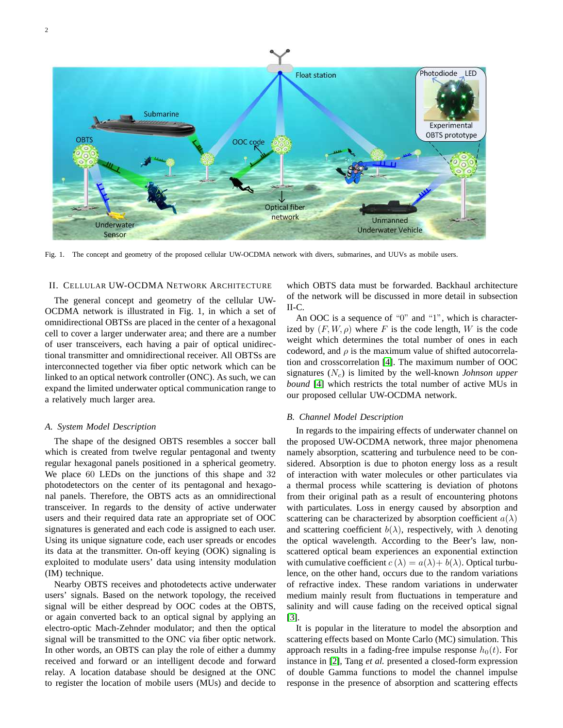

Fig. 1. The concept and geometry of the proposed cellular UW-OCDMA network with divers, submarines, and UUVs as mobile users.

# II. CELLULAR UW-OCDMA NETWORK ARCHITECTURE

The general concept and geometry of the cellular UW-OCDMA network is illustrated in Fig. 1, in which a set of omnidirectional OBTSs are placed in the center of a hexagonal cell to cover a larger underwater area; and there are a number of user transceivers, each having a pair of optical unidirectional transmitter and omnidirectional receiver. All OBTSs are interconnected together via fiber optic network which can be linked to an optical network controller (ONC). As such, we can expand the limited underwater optical communication range to a relatively much larger area.

#### *A. System Model Description*

The shape of the designed OBTS resembles a soccer ball which is created from twelve regular pentagonal and twenty regular hexagonal panels positioned in a spherical geometry. We place 60 LEDs on the junctions of this shape and 32 photodetectors on the center of its pentagonal and hexagonal panels. Therefore, the OBTS acts as an omnidirectional transceiver. In regards to the density of active underwater users and their required data rate an appropriate set of OOC signatures is generated and each code is assigned to each user. Using its unique signature code, each user spreads or encodes its data at the transmitter. On-off keying (OOK) signaling is exploited to modulate users' data using intensity modulation (IM) technique.

Nearby OBTS receives and photodetects active underwater users' signals. Based on the network topology, the received signal will be either despread by OOC codes at the OBTS, or again converted back to an optical signal by applying an electro-optic Mach-Zehnder modulator; and then the optical signal will be transmitted to the ONC via fiber optic network. In other words, an OBTS can play the role of either a dummy received and forward or an intelligent decode and forward relay. A location database should be designed at the ONC to register the location of mobile users (MUs) and decide to

which OBTS data must be forwarded. Backhaul architecture of the network will be discussed in more detail in subsection II-C.

An OOC is a sequence of "0" and "1", which is characterized by  $(F, W, \rho)$  where F is the code length, W is the code weight which determines the total number of ones in each codeword, and  $\rho$  is the maximum value of shifted autocorrelation and crosscorrelation [\[4\]](#page-10-3). The maximum number of OOC signatures  $(N_c)$  is limited by the well-known *Johnson upper bound* [\[4\]](#page-10-3) which restricts the total number of active MUs in our proposed cellular UW-OCDMA network.

#### *B. Channel Model Description*

In regards to the impairing effects of underwater channel on the proposed UW-OCDMA network, three major phenomena namely absorption, scattering and turbulence need to be considered. Absorption is due to photon energy loss as a result of interaction with water molecules or other particulates via a thermal process while scattering is deviation of photons from their original path as a result of encountering photons with particulates. Loss in energy caused by absorption and scattering can be characterized by absorption coefficient  $a(\lambda)$ and scattering coefficient  $b(\lambda)$ , respectively, with  $\lambda$  denoting the optical wavelength. According to the Beer's law, nonscattered optical beam experiences an exponential extinction with cumulative coefficient  $c(\lambda) = a(\lambda) + b(\lambda)$ . Optical turbulence, on the other hand, occurs due to the random variations of refractive index. These random variations in underwater medium mainly result from fluctuations in temperature and salinity and will cause fading on the received optical signal [\[3\]](#page-10-2).

It is popular in the literature to model the absorption and scattering effects based on Monte Carlo (MC) simulation. This approach results in a fading-free impulse response  $h_0(t)$ . For instance in [\[2\]](#page-10-1), Tang *et al.* presented a closed-form expression of double Gamma functions to model the channel impulse response in the presence of absorption and scattering effects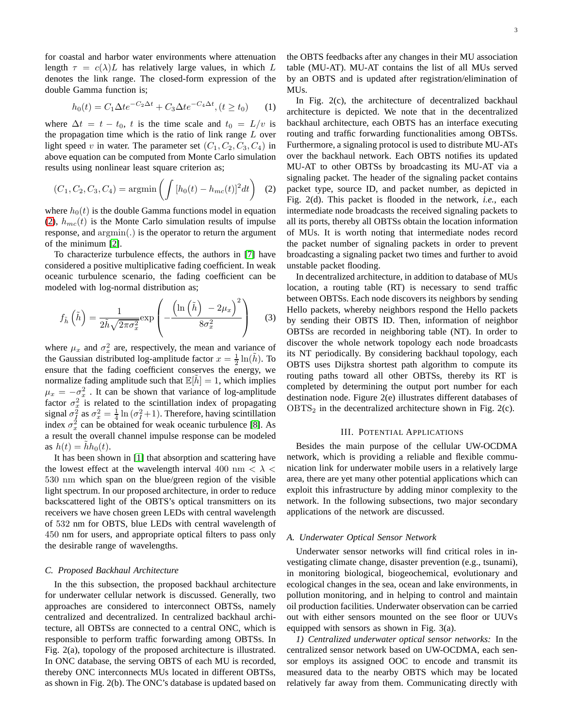for coastal and harbor water environments where attenuation length  $\tau = c(\lambda)L$  has relatively large values, in which L denotes the link range. The closed-form expression of the double Gamma function is;

$$
h_0(t) = C_1 \Delta t e^{-C_2 \Delta t} + C_3 \Delta t e^{-C_4 \Delta t}, (t \ge t_0)
$$
 (1)

where  $\Delta t = t - t_0$ , t is the time scale and  $t_0 = L/v$  is the propagation time which is the ratio of link range  $L$  over light speed v in water. The parameter set  $(C_1, C_2, C_3, C_4)$  in above equation can be computed from Monte Carlo simulation results using nonlinear least square criterion as;

<span id="page-2-0"></span>
$$
(C_1, C_2, C_3, C_4) = \operatorname{argmin}\left(\int [h_0(t) - h_{mc}(t)]^2 dt\right)
$$
 (2)

where  $h_0(t)$  is the double Gamma functions model in equation [\(2\)](#page-2-0),  $h_{mc}(t)$  is the Monte Carlo simulation results of impulse response, and argmin(.) is the operator to return the argument of the minimum [\[2\]](#page-10-1).

To characterize turbulence effects, the authors in [\[7\]](#page-10-6) have considered a positive multiplicative fading coefficient. In weak oceanic turbulence scenario, the fading coefficient can be modeled with log-normal distribution as;

$$
f_{\tilde{h}}\left(\tilde{h}\right) = \frac{1}{2\tilde{h}\sqrt{2\pi\sigma_x^2}} \exp\left(-\frac{\left(\ln\left(\tilde{h}\right) - 2\mu_x\right)^2}{8\sigma_x^2}\right) \tag{3}
$$

where  $\mu_x$  and  $\sigma_x^2$  are, respectively, the mean and variance of the Gaussian distributed log-amplitude factor  $x = \frac{1}{2} \ln(\tilde{h})$ . To ensure that the fading coefficient conserves the energy, we normalize fading amplitude such that  $\mathbb{E}[h] = 1$ , which implies  $\mu_x = -\sigma_x^2$ . It can be shown that variance of log-amplitude factor  $\sigma_x^2$  is related to the scintillation index of propagating signal  $\sigma_{\bar{f}}^2$  as  $\sigma_x^2 = \frac{1}{4} \ln(\sigma_{\bar{f}}^2 + 1)$ . Therefore, having scintillation index  $\sigma_x^2$  can be obtained for weak oceanic turbulence [\[8\]](#page-10-7). As a result the overall channel impulse response can be modeled as  $h(t) = \tilde{h}h_0(t)$ .

It has been shown in [\[1\]](#page-10-0) that absorption and scattering have the lowest effect at the wavelength interval 400 nm  $< \lambda$ 530 nm which span on the blue/green region of the visible light spectrum. In our proposed architecture, in order to reduce backscattered light of the OBTS's optical transmitters on its receivers we have chosen green LEDs with central wavelength of 532 nm for OBTS, blue LEDs with central wavelength of 450 nm for users, and appropriate optical filters to pass only the desirable range of wavelengths.

# *C. Proposed Backhaul Architecture*

In the this subsection, the proposed backhaul architecture for underwater cellular network is discussed. Generally, two approaches are considered to interconnect OBTSs, namely centralized and decentralized. In centralized backhaul architecture, all OBTSs are connected to a central ONC, which is responsible to perform traffic forwarding among OBTSs. In Fig. 2(a), topology of the proposed architecture is illustrated. In ONC database, the serving OBTS of each MU is recorded, thereby ONC interconnects MUs located in different OBTSs, as shown in Fig. 2(b). The ONC's database is updated based on

the OBTS feedbacks after any changes in their MU association table (MU-AT). MU-AT contains the list of all MUs served by an OBTS and is updated after registration/elimination of MUs.

In Fig. 2(c), the architecture of decentralized backhaul architecture is depicted. We note that in the decentralized backhaul architecture, each OBTS has an interface executing routing and traffic forwarding functionalities among OBTSs. Furthermore, a signaling protocol is used to distribute MU-ATs over the backhaul network. Each OBTS notifies its updated MU-AT to other OBTSs by broadcasting its MU-AT via a signaling packet. The header of the signaling packet contains packet type, source ID, and packet number, as depicted in Fig. 2(d). This packet is flooded in the network, *i.e.*, each intermediate node broadcasts the received signaling packets to all its ports, thereby all OBTSs obtain the location information of MUs. It is worth noting that intermediate nodes record the packet number of signaling packets in order to prevent broadcasting a signaling packet two times and further to avoid unstable packet flooding.

In decentralized architecture, in addition to database of MUs location, a routing table (RT) is necessary to send traffic between OBTSs. Each node discovers its neighbors by sending Hello packets, whereby neighbors respond the Hello packets by sending their OBTS ID. Then, information of neighbor OBTSs are recorded in neighboring table (NT). In order to discover the whole network topology each node broadcasts its NT periodically. By considering backhaul topology, each OBTS uses Dijkstra shortest path algorithm to compute its routing paths toward all other OBTSs, thereby its RT is completed by determining the output port number for each destination node. Figure 2(e) illustrates different databases of  $OBTS<sub>2</sub>$  in the decentralized architecture shown in Fig. 2(c).

#### III. POTENTIAL APPLICATIONS

Besides the main purpose of the cellular UW-OCDMA network, which is providing a reliable and flexible communication link for underwater mobile users in a relatively large area, there are yet many other potential applications which can exploit this infrastructure by adding minor complexity to the network. In the following subsections, two major secondary applications of the network are discussed.

#### *A. Underwater Optical Sensor Network*

Underwater sensor networks will find critical roles in investigating climate change, disaster prevention (e.g., tsunami), in monitoring biological, biogeochemical, evolutionary and ecological changes in the sea, ocean and lake environments, in pollution monitoring, and in helping to control and maintain oil production facilities. Underwater observation can be carried out with either sensors mounted on the see floor or UUVs equipped with sensors as shown in Fig. 3(a).

*1) Centralized underwater optical sensor networks:* In the centralized sensor network based on UW-OCDMA, each sensor employs its assigned OOC to encode and transmit its measured data to the nearby OBTS which may be located relatively far away from them. Communicating directly with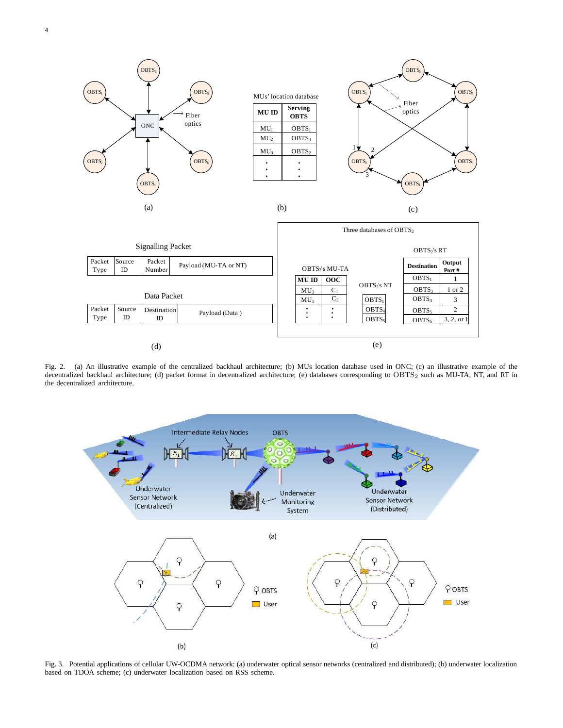

Fig. 2. (a) An illustrative example of the centralized backhaul architecture; (b) MUs location database used in ONC; (c) an illustrative example of the decentralized backhaul architecture; (d) packet format in decentralized architecture; (e) databases corresponding to OBTS2 such as MU-TA, NT, and RT in the decentralized architecture.



Fig. 3. Potential applications of cellular UW-OCDMA network: (a) underwater optical sensor networks (centralized and distributed); (b) underwater localization based on TDOA scheme; (c) underwater localization based on RSS scheme.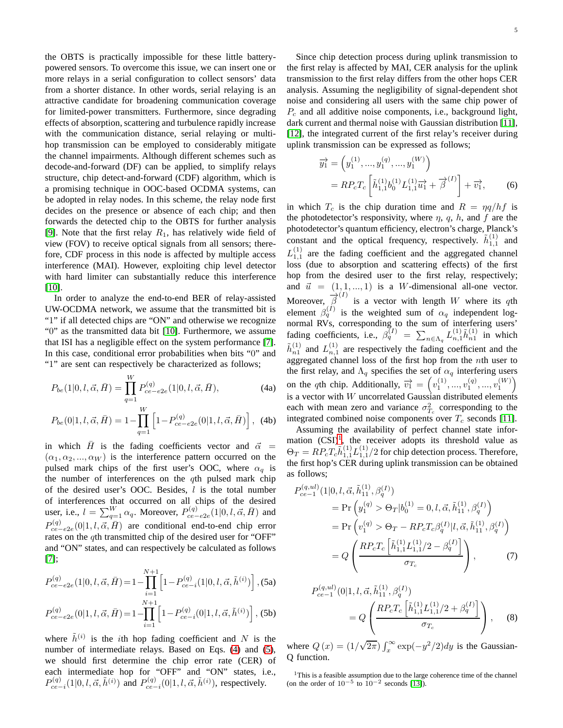the OBTS is practically impossible for these little batterypowered sensors. To overcome this issue, we can insert one or more relays in a serial configuration to collect sensors' data from a shorter distance. In other words, serial relaying is an attractive candidate for broadening communication coverage for limited-power transmitters. Furthermore, since degrading effects of absorption, scattering and turbulence rapidly increase with the communication distance, serial relaying or multihop transmission can be employed to considerably mitigate the channel impairments. Although different schemes such as decode-and-forward (DF) can be applied, to simplify relays structure, chip detect-and-forward (CDF) algorithm, which is a promising technique in OOC-based OCDMA systems, can be adopted in relay nodes. In this scheme, the relay node first decides on the presence or absence of each chip; and then forwards the detected chip to the OBTS for further analysis [\[9\]](#page-10-8). Note that the first relay  $R_1$ , has relatively wide field of view (FOV) to receive optical signals from all sensors; therefore, CDF process in this node is affected by multiple access interference (MAI). However, exploiting chip level detector with hard limiter can substantially reduce this interference [\[10\]](#page-10-9).

In order to analyze the end-to-end BER of relay-assisted UW-OCDMA network, we assume that the transmitted bit is "1" if all detected chips are "ON" and otherwise we recognize "0" as the transmitted data bit [\[10\]](#page-10-9). Furthermore, we assume that ISI has a negligible effect on the system performance [\[7\]](#page-10-6). In this case, conditional error probabilities when bits "0" and "1" are sent can respectively be characterized as follows;

$$
P_{be}(1|0,l,\vec{\alpha},\bar{H}) = \prod_{q=1}^{W} P_{ce-e2e}^{(q)}(1|0,l,\vec{\alpha},\bar{H}),
$$
\n(4a)

$$
P_{be}(0|1, l, \vec{\alpha}, \bar{H}) = 1 - \prod_{q=1}^{W} \left[ 1 - P_{ce-e2e}^{(q)}(0|1, l, \vec{\alpha}, \bar{H}) \right], (4b)
$$

in which  $\bar{H}$  is the fading coefficients vector and  $\vec{\alpha}$  =  $(\alpha_1, \alpha_2, ..., \alpha_W)$  is the interference pattern occurred on the pulsed mark chips of the first user's OOC, where  $\alpha_q$  is the number of interferences on the  $q$ th pulsed mark chip of the desired user's OOC. Besides,  $l$  is the total number of interferences that occurred on all chips of the desired user, i.e.,  $l = \sum_{q=1}^{W} \alpha_q$ . Moreover,  $P_{ce-e2e}^{(q)}(1|0, l, \vec{\alpha}, \vec{H})$  and  $P_{ce-e2e}^{(q)}(0|1,l,\vec{\alpha},\vec{H})$  are conditional end-to-end chip error rates on the qth transmitted chip of the desired user for "OFF" and "ON" states, and can respectively be calculated as follows [\[7\]](#page-10-6);

<span id="page-4-1"></span>
$$
P_{ce-e2e}^{(q)}(1|0,l,\vec{\alpha},\bar{H}) = 1 - \prod_{i=1}^{N+1} \left[ 1 - P_{ce-i}^{(q)}(1|0,l,\vec{\alpha},\tilde{h}^{(i)}) \right], (5a)
$$

$$
P_{ce-e2e}^{(q)}(0|1,l,\vec{\alpha},\bar{H}) = 1 - \prod_{i=1}^{N+1} \left[ 1 - P_{ce-i}^{(q)}(0|1,l,\vec{\alpha},\tilde{h}^{(i)}) \right], (5b)
$$

where  $\tilde{h}^{(i)}$  is the *i*th hop fading coefficient and N is the number of intermediate relays. Based on Eqs. [\(4\)](#page-4-0) and [\(5\)](#page-4-1), we should first determine the chip error rate (CER) of each intermediate hop for "OFF" and "ON" states, i.e.,  $P_{ce-i}^{(q)}(1|0,l,\vec{\alpha},\tilde{h}^{(i)})$  and  $P_{ce-i}^{(q)}(0|1,l,\vec{\alpha},\tilde{h}^{(i)})$ , respectively.

Since chip detection process during uplink transmission to the first relay is affected by MAI, CER analysis for the uplink transmission to the first relay differs from the other hops CER analysis. Assuming the negligibility of signal-dependent shot noise and considering all users with the same chip power of

 $P_c$  and all additive noise components, i.e., background light, dark current and thermal noise with Gaussian distribution [\[11\]](#page-10-10), [\[12\]](#page-10-11), the integrated current of the first relay's receiver during uplink transmission can be expressed as follows;

$$
\overrightarrow{y_1} = \left(y_1^{(1)}, \dots, y_1^{(q)}, \dots, y_1^{(W)}\right) \n= RP_cT_c\left[\tilde{h}_{1,1}^{(1)}b_0^{(1)}L_{1,1}^{(1)}\overrightarrow{u_1} + \overrightarrow{\beta}^{(I)}\right] + \overrightarrow{v_1},
$$
\n(6)

in which  $T_c$  is the chip duration time and  $R = \eta q/hf$  is the photodetector's responsivity, where  $\eta$ , q, h, and f are the photodetector's quantum efficiency, electron's charge, Planck's constant and the optical frequency, respectively.  $\tilde{h}_{1,1}^{(1)}$  and  $L_{1,1}^{(1)}$  are the fading coefficient and the aggregated channel loss (due to absorption and scattering effects) of the first hop from the desired user to the first relay, respectively; and  $\vec{u} = (1, 1, ..., 1)$  is a W-dimensional all-one vector. Moreover,  $\overrightarrow{\beta}^{(I)}$  is a vector with length W where its qth element  $\beta_q^{(I)}$  is the weighted sum of  $\alpha_q$  independent lognormal RVs, corresponding to the sum of interfering users' fading coefficients, i.e.,  $\beta_q^{(I)} = \sum_{n \in \Lambda_q} L_{n,1}^{(1)} \tilde{h}_{n1}^{(1)}$  in which  $\tilde{h}_{n1}^{(1)}$  and  $L_{n,1}^{(1)}$  are respectively the fading coefficient and the aggregated channel loss of the first hop from the *n*th user to the first relay, and  $\Lambda_q$  specifies the set of  $\alpha_q$  interfering users on the qth chip. Additionally,  $\vec{v}_1 = (v_1^{(1)}, ..., v_1^{(q)}, ..., v_1^{(W)})$ is a vector with  $W$  uncorrelated Gaussian distributed elements each with mean zero and variance  $\sigma_{T_c}^2$  corresponding to the integrated combined noise components over  $T_c$  seconds [\[11\]](#page-10-10).

<span id="page-4-0"></span>Assuming the availability of perfect channel state information  $(CSI)^1$  $(CSI)^1$ , the receiver adopts its threshold value as  $\Theta_T = RP_cT_c\tilde{h}_{1,1}^{(1)}L_{1,1}^{(1)}/2$  for chip detection process. Therefore, the first hop's CER during uplink transmission can be obtained as follows;

$$
P_{ce-1}^{(q,ul)}(1|0, l, \vec{\alpha}, \tilde{h}_{11}^{(1)}, \beta_q^{(I)})
$$
  
= 
$$
\Pr\left(y_1^{(q)} > \Theta_T | b_0^{(1)} = 0, l, \vec{\alpha}, \tilde{h}_{11}^{(1)}, \beta_q^{(I)}\right)
$$
  
= 
$$
\Pr\left(v_1^{(q)} > \Theta_T - RP_cT_c\beta_q^{(I)}|l, \vec{\alpha}, \tilde{h}_{11}^{(1)}, \beta_q^{(I)}\right)
$$
  
= 
$$
Q\left(\frac{RP_cT_c\left[\tilde{h}_{1,1}^{(1)}L_{1,1}^{(1)}/2 - \beta_q^{(I)}\right]}{\sigma_{T_c}}\right),
$$
(7)

<span id="page-4-4"></span><span id="page-4-3"></span>
$$
P_{ce-1}^{(q,ul)}(0|1, l, \vec{\alpha}, \tilde{h}_{11}^{(1)}, \beta_q^{(I)})
$$
  
= 
$$
Q\left(\frac{RP_cT_c\left[\tilde{h}_{1,1}^{(1)}L_{1,1}^{(1)}/2 + \beta_q^{(I)}\right]}{\sigma_{T_c}}\right), \quad (8)
$$

where  $Q(x) = (1/\sqrt{2\pi}) \int_x^{\infty} \exp(-y^2/2) dy$  is the Gaussian-Q function.

<span id="page-4-2"></span> $1$ This is a feasible assumption due to the large coherence time of the channel (on the order of  $10^{-5}$  to  $10^{-2}$  seconds [\[13\]](#page-10-12)).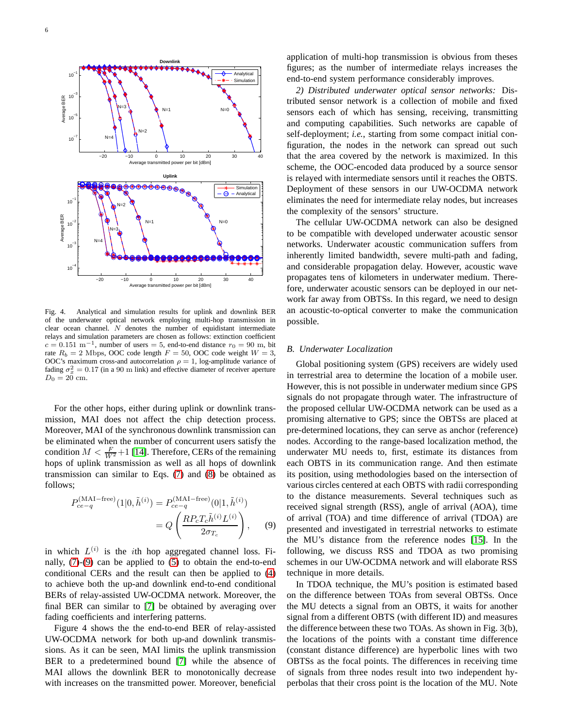

Fig. 4. Analytical and simulation results for uplink and downlink BER of the underwater optical network employing multi-hop transmission in clear ocean channel.  $N$  denotes the number of equidistant intermediate relays and simulation parameters are chosen as follows: extinction coefficient  $c = 0.151$  m<sup>-1</sup>, number of users = 5, end-to-end distance  $r_0 = 90$  m, bit rate  $R_b = 2$  Mbps, OOC code length  $F = 50$ , OOC code weight  $W = 3$ , OOC's maximum cross-and autocorrelation  $\rho = 1$ , log-amplitude variance of fading  $\sigma_x^2 = 0.17$  (in a 90 m link) and effective diameter of receiver aperture  $D_0 = 20$  cm.

For the other hops, either during uplink or downlink transmission, MAI does not affect the chip detection process. Moreover, MAI of the synchronous downlink transmission can be eliminated when the number of concurrent users satisfy the condition  $M < \frac{F}{W^2} + 1$  [\[14\]](#page-10-13). Therefore, CERs of the remaining hops of uplink transmission as well as all hops of downlink transmission can similar to Eqs. [\(7\)](#page-4-3) and [\(8\)](#page-4-4) be obtained as follows;

$$
P_{ce-q}^{(\text{MAI-free})}(1|0,\tilde{h}^{(i)}) = P_{ce-q}^{(\text{MAI-free})}(0|1,\tilde{h}^{(i)})
$$

$$
= Q\left(\frac{R P_c T_c \tilde{h}^{(i)} L^{(i)}}{2\sigma_{T_c}}\right), \qquad (9)
$$

in which  $L^{(i)}$  is the *i*th hop aggregated channel loss. Finally, [\(7\)](#page-4-3)-[\(9\)](#page-5-0) can be applied to [\(5\)](#page-4-1) to obtain the end-to-end conditional CERs and the result can then be applied to [\(4\)](#page-4-0) to achieve both the up-and downlink end-to-end conditional BERs of relay-assisted UW-OCDMA network. Moreover, the final BER can similar to [\[7\]](#page-10-6) be obtained by averaging over fading coefficients and interfering patterns.

Figure 4 shows the the end-to-end BER of relay-assisted UW-OCDMA network for both up-and downlink transmissions. As it can be seen, MAI limits the uplink transmission BER to a predetermined bound [\[7\]](#page-10-6) while the absence of MAI allows the downlink BER to monotonically decrease with increases on the transmitted power. Moreover, beneficial application of multi-hop transmission is obvious from theses figures; as the number of intermediate relays increases the end-to-end system performance considerably improves.

*2) Distributed underwater optical sensor networks:* Distributed sensor network is a collection of mobile and fixed sensors each of which has sensing, receiving, transmitting and computing capabilities. Such networks are capable of self-deployment; *i.e.*, starting from some compact initial configuration, the nodes in the network can spread out such that the area covered by the network is maximized. In this scheme, the OOC-encoded data produced by a source sensor is relayed with intermediate sensors until it reaches the OBTS. Deployment of these sensors in our UW-OCDMA network eliminates the need for intermediate relay nodes, but increases the complexity of the sensors' structure.

The cellular UW-OCDMA network can also be designed to be compatible with developed underwater acoustic sensor networks. Underwater acoustic communication suffers from inherently limited bandwidth, severe multi-path and fading, and considerable propagation delay. However, acoustic wave propagates tens of kilometers in underwater medium. Therefore, underwater acoustic sensors can be deployed in our network far away from OBTSs. In this regard, we need to design an acoustic-to-optical converter to make the communication possible.

# *B. Underwater Localization*

Global positioning system (GPS) receivers are widely used in terrestrial area to determine the location of a mobile user. However, this is not possible in underwater medium since GPS signals do not propagate through water. The infrastructure of the proposed cellular UW-OCDMA network can be used as a promising alternative to GPS; since the OBTSs are placed at pre-determined locations, they can serve as anchor (reference) nodes. According to the range-based localization method, the underwater MU needs to, first, estimate its distances from each OBTS in its communication range. And then estimate its position, using methodologies based on the intersection of various circles centered at each OBTS with radii corresponding to the distance measurements. Several techniques such as received signal strength (RSS), angle of arrival (AOA), time of arrival (TOA) and time difference of arrival (TDOA) are presented and investigated in terrestrial networks to estimate the MU's distance from the reference nodes [\[15\]](#page-10-14). In the following, we discuss RSS and TDOA as two promising schemes in our UW-OCDMA network and will elaborate RSS technique in more details.

<span id="page-5-0"></span>In TDOA technique, the MU's position is estimated based on the difference between TOAs from several OBTSs. Once the MU detects a signal from an OBTS, it waits for another signal from a different OBTS (with different ID) and measures the difference between these two TOAs. As shown in Fig. 3(b), the locations of the points with a constant time difference (constant distance difference) are hyperbolic lines with two OBTSs as the focal points. The differences in receiving time of signals from three nodes result into two independent hyperbolas that their cross point is the location of the MU. Note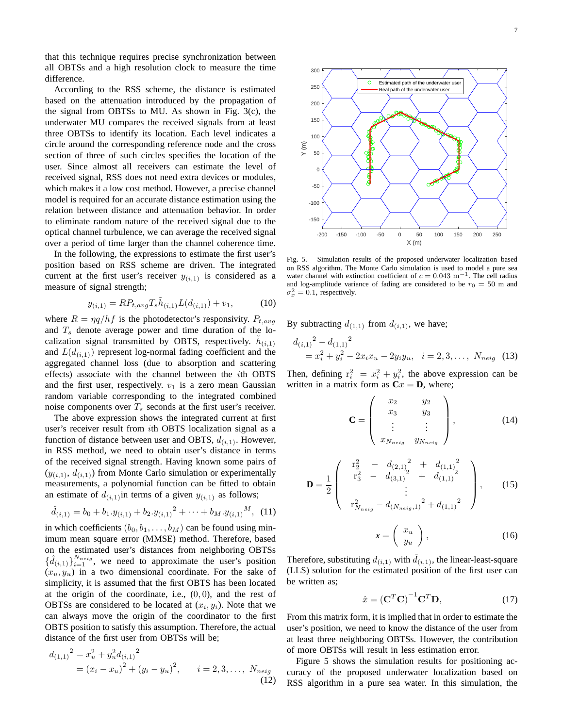that this technique requires precise synchronization between all OBTSs and a high resolution clock to measure the time difference.

According to the RSS scheme, the distance is estimated based on the attenuation introduced by the propagation of the signal from OBTSs to MU. As shown in Fig. 3(c), the underwater MU compares the received signals from at least three OBTSs to identify its location. Each level indicates a circle around the corresponding reference node and the cross section of three of such circles specifies the location of the user. Since almost all receivers can estimate the level of received signal, RSS does not need extra devices or modules, which makes it a low cost method. However, a precise channel model is required for an accurate distance estimation using the relation between distance and attenuation behavior. In order to eliminate random nature of the received signal due to the optical channel turbulence, we can average the received signal over a period of time larger than the channel coherence time.

In the following, the expressions to estimate the first user's position based on RSS scheme are driven. The integrated current at the first user's receiver  $y_{(i,1)}$  is considered as a measure of signal strength;

$$
y_{(i,1)} = RP_{t,avg} T_s \tilde{h}_{(i,1)} L(d_{(i,1)}) + v_1, \tag{10}
$$

where  $R = \frac{\eta q}{hf}$  is the photodetector's responsivity.  $P_{t,avg}$ and  $T<sub>s</sub>$  denote average power and time duration of the localization signal transmitted by OBTS, respectively.  $\tilde{h}_{(i,1)}$ and  $L(d_{(i,1)})$  represent log-normal fading coefficient and the aggregated channel loss (due to absorption and scattering effects) associate with the channel between the ith OBTS and the first user, respectively.  $v_1$  is a zero mean Gaussian random variable corresponding to the integrated combined noise components over  $T_s$  seconds at the first user's receiver.

The above expression shows the integrated current at first user's receiver result from *i*th OBTS localization signal as a function of distance between user and OBTS,  $d_{(i,1)}$ . However, in RSS method, we need to obtain user's distance in terms of the received signal strength. Having known some pairs of  $(y_{(i,1)}, d_{(i,1)})$  from Monte Carlo simulation or experimentally measurements, a polynomial function can be fitted to obtain an estimate of  $d_{(i,1)}$  in terms of a given  $y_{(i,1)}$  as follows;

$$
\hat{d}_{(i,1)} = b_0 + b_1 \cdot y_{(i,1)} + b_2 \cdot y_{(i,1)}^2 + \cdots + b_M \cdot y_{(i,1)}^M, \quad (11)
$$

in which coefficients  $(b_0, b_1, \ldots, b_M)$  can be found using minimum mean square error (MMSE) method. Therefore, based on the estimated user's distances from neighboring OBTSs  $\{\hat{d}_{(i,1)}\}_{i=1}^{N_{neig}}$ , we need to approximate the user's position  $(x_u, y_u)$  in a two dimensional coordinate. For the sake of simplicity, it is assumed that the first OBTS has been located at the origin of the coordinate, i.e.,  $(0, 0)$ , and the rest of OBTSs are considered to be located at  $(x_i, y_i)$ . Note that we can always move the origin of the coordinator to the first OBTS position to satisfy this assumption. Therefore, the actual distance of the first user from OBTSs will be;

$$
d_{(1,1)}^{2} = x_{u}^{2} + y_{u}^{2} d_{(i,1)}^{2}
$$
  
=  $(x_{i} - x_{u})^{2} + (y_{i} - y_{u})^{2}$ ,  $i = 2, 3, ..., N_{neig}$  (12)



Fig. 5. Simulation results of the proposed underwater localization based on RSS algorithm. The Monte Carlo simulation is used to model a pure sea water channel with extinction coefficient of  $c = 0.043 \text{ m}^{-1}$ . The cell radius and log-amplitude variance of fading are considered to be  $r_0 = 50$  m and  $\sigma_x^2 = 0.1$ , respectively.

By subtracting  $d_{(1,1)}$  from  $d_{(i,1)}$ , we have;

$$
d_{(i,1)}^2 - d_{(1,1)}^2
$$
  
=  $x_i^2 + y_i^2 - 2x_ix_u - 2y_iy_u$ ,  $i = 2, 3, ..., N_{neig}$  (13)

Then, defining  $r_i^2 = x_i^2 + y_i^2$ , the above expression can be written in a matrix form as  $Cx = D$ , where;

$$
\mathbf{C} = \left( \begin{array}{ccc} x_2 & y_2 \\ x_3 & y_3 \\ \vdots & \vdots \\ x_{N_{neig}} & y_{N_{neig}} \end{array} \right), \tag{14}
$$

$$
\mathbf{D} = \frac{1}{2} \begin{pmatrix} r_2^2 & -d_{(2,1)}^2 & +d_{(1,1)}^2\\ r_3^2 & -d_{(3,1)}^2 & +d_{(1,1)}^2\\ \vdots & \vdots & \vdots\\ r_{N_{neig}}^2 - d_{(N_{neig,1})}^2 + d_{(1,1)}^2 \end{pmatrix}, \qquad (15)
$$

$$
x = \begin{pmatrix} x_u\\ y_u \end{pmatrix}, \qquad (16)
$$

<span id="page-6-0"></span>Therefore, substituting  $d_{(i,1)}$  with  $d_{(i,1)}$ , the linear-least-square (LLS) solution for the estimated position of the first user can be written as;

<span id="page-6-1"></span>
$$
\hat{x} = \left(\mathbf{C}^T \mathbf{C}\right)^{-1} \mathbf{C}^T \mathbf{D},\tag{17}
$$

From this matrix form, it is implied that in order to estimate the user's position, we need to know the distance of the user from at least three neighboring OBTSs. However, the contribution of more OBTSs will result in less estimation error.

Figure 5 shows the simulation results for positioning accuracy of the proposed underwater localization based on RSS algorithm in a pure sea water. In this simulation, the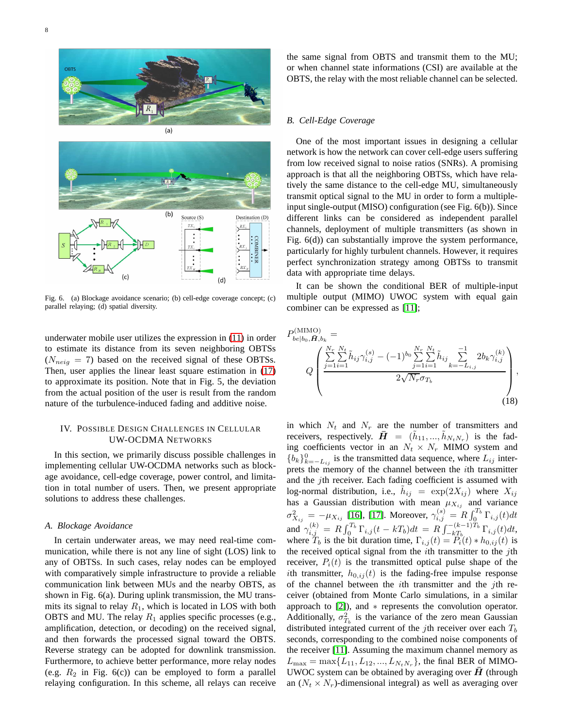

Fig. 6. (a) Blockage avoidance scenario; (b) cell-edge coverage concept; (c) parallel relaying; (d) spatial diversity.

 $(d)$ 

 $(c)$ 

underwater mobile user utilizes the expression in [\(11\)](#page-6-0) in order to estimate its distance from its seven neighboring OBTSs  $(N_{neig} = 7)$  based on the received signal of these OBTSs. Then, user applies the linear least square estimation in [\(17\)](#page-6-1) to approximate its position. Note that in Fig. 5, the deviation from the actual position of the user is result from the random nature of the turbulence-induced fading and additive noise.

# IV. POSSIBLE DESIGN CHALLENGES IN CELLULAR UW-OCDMA NETWORKS

In this section, we primarily discuss possible challenges in implementing cellular UW-OCDMA networks such as blockage avoidance, cell-edge coverage, power control, and limitation in total number of users. Then, we present appropriate solutions to address these challenges.

### *A. Blockage Avoidance*

In certain underwater areas, we may need real-time communication, while there is not any line of sight (LOS) link to any of OBTSs. In such cases, relay nodes can be employed with comparatively simple infrastructure to provide a reliable communication link between MUs and the nearby OBTS, as shown in Fig. 6(a). During uplink transmission, the MU transmits its signal to relay  $R_1$ , which is located in LOS with both OBTS and MU. The relay  $R_1$  applies specific processes (e.g., amplification, detection, or decoding) on the received signal, and then forwards the processed signal toward the OBTS. Reverse strategy can be adopted for downlink transmission. Furthermore, to achieve better performance, more relay nodes (e.g.  $R_2$  in Fig. 6(c)) can be employed to form a parallel relaying configuration. In this scheme, all relays can receive the same signal from OBTS and transmit them to the MU; or when channel state informations (CSI) are available at the OBTS, the relay with the most reliable channel can be selected.

# *B. Cell-Edge Coverage*

One of the most important issues in designing a cellular network is how the network can cover cell-edge users suffering from low received signal to noise ratios (SNRs). A promising approach is that all the neighboring OBTSs, which have relatively the same distance to the cell-edge MU, simultaneously transmit optical signal to the MU in order to form a multipleinput single-output (MISO) configuration (see Fig. 6(b)). Since different links can be considered as independent parallel channels, deployment of multiple transmitters (as shown in Fig. 6(d)) can substantially improve the system performance, particularly for highly turbulent channels. However, it requires perfect synchronization strategy among OBTSs to transmit data with appropriate time delays.

It can be shown the conditional BER of multiple-input multiple output (MIMO) UWOC system with equal gain combiner can be expressed as [\[11\]](#page-10-10);

$$
P_{be|b_0,\bar{H},b_k}^{(\text{MIMO})} =
$$
\n
$$
Q\left(\frac{\sum_{j=1}^{N_r} \sum_{i=1}^{N_t} \tilde{h}_{ij} \gamma_{i,j}^{(s)} - (-1)^{b_0} \sum_{j=1}^{N_r} \sum_{i=1}^{N_t} \tilde{h}_{ij}}{2\sqrt{N_r} \sigma_{T_b}}\right),
$$
\n
$$
(18)
$$

in which  $N_t$  and  $N_r$  are the number of transmitters and receivers, respectively.  $\vec{H} = (\tilde{h}_{11}, ..., \tilde{h}_{N_tN_r})$  is the fading coefficients vector in an  $N_t \times N_r$  MIMO system and  ${b_k}_{k=-L_{ij}}^0$  is the transmitted data sequence, where  $L_{ij}$  interprets the memory of the channel between the ith transmitter and the jth receiver. Each fading coefficient is assumed with log-normal distribution, i.e.,  $h_{ij} = \exp(2X_{ij})$  where  $X_{ij}$ has a Gaussian distribution with mean  $\mu_{X_{ij}}$  and variance  $\sigma_{X_{ij}}^2 = -\mu_{X_{ij}}$  [\[16\]](#page-10-15), [\[17\]](#page-10-16). Moreover,  $\gamma_{i,j}^{(s)} = R \int_0^{T_b} \Gamma_{i,j}(t) dt$ and  $\gamma_{i,j}^{(k)} = R \int_0^{T_b} \Gamma_{i,j}(t - kT_b) dt = R \int_{-kT_b}^{-(k-1)T_b} \Gamma_{i,j}(t) dt$ , where  $T_b$  is the bit duration time,  $\Gamma_{i,j}(t) = P_i(t) * h_{0,ij}(t)$  is the received optical signal from the  $i$ th transmitter to the  $j$ th receiver,  $P_i(t)$  is the transmitted optical pulse shape of the ith transmitter,  $h_{0,ij}(t)$  is the fading-free impulse response of the channel between the *i*th transmitter and the *j*th receiver (obtained from Monte Carlo simulations, in a similar approach to  $[2]$ ), and  $*$  represents the convolution operator. Additionally,  $\sigma_{T_b}^2$  is the variance of the zero mean Gaussian distributed integrated current of the jth receiver over each  $T_b$ seconds, corresponding to the combined noise components of the receiver [\[11\]](#page-10-10). Assuming the maximum channel memory as  $L_{\text{max}} = \max\{L_{11}, L_{12}, ..., L_{N_tN_r}\}\$ , the final BER of MIMO-UWOC system can be obtained by averaging over  $\bar{H}$  (through an  $(N_t \times N_r)$ -dimensional integral) as well as averaging over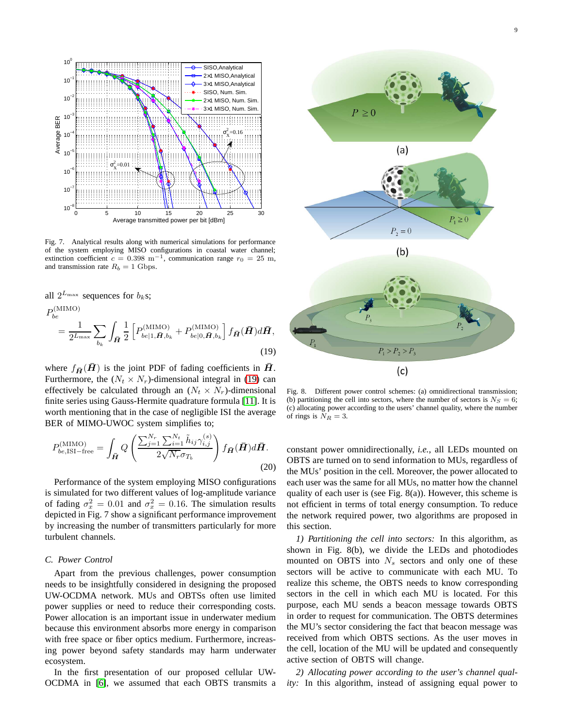

Fig. 7. Analytical results along with numerical simulations for performance of the system employing MISO configurations in coastal water channel; extinction coefficient  $c = 0.398 \text{ m}^{-1}$ , communication range  $r_0 = 25 \text{ m}$ , and transmission rate  $R_b = 1$  Gbps.

all 
$$
2^{L_{\text{max}}}
$$
 sequences for  $b_k$ s;  
\n
$$
P_{be}^{(\text{MIMO})} = \frac{1}{2^{L_{\text{max}}}} \sum_{b_k} \int_{\vec{H}} \frac{1}{2} \left[ P_{be|1, \vec{H}, b_k}^{(\text{MIMO})} + P_{be|0, \vec{H}, b_k}^{(\text{MIMO})} \right] f_{\vec{H}}(\vec{H}) d\vec{H},
$$
\n(19)

where  $f_{\bar{H}}(\bar{H})$  is the joint PDF of fading coefficients in  $\bar{H}$ . Furthermore, the  $(N_t \times N_r)$ -dimensional integral in [\(19\)](#page-8-0) can effectively be calculated through an  $(N_t \times N_r)$ -dimensional finite series using Gauss-Hermite quadrature formula [\[11\]](#page-10-10). It is worth mentioning that in the case of negligible ISI the average BER of MIMO-UWOC system simplifies to;

$$
P_{be,\text{ISI-free}}^{(\text{MIMO})} = \int_{\vec{H}} Q\left(\frac{\sum_{j=1}^{N_r} \sum_{i=1}^{N_t} \tilde{h}_{ij} \gamma_{i,j}^{(s)}}{2\sqrt{N_r} \sigma_{T_b}}\right) f_{\vec{H}}(\vec{H}) d\vec{H}.
$$
\n(20)

Performance of the system employing MISO configurations is simulated for two different values of log-amplitude variance of fading  $\sigma_x^2 = 0.01$  and  $\sigma_x^2 = 0.16$ . The simulation results depicted in Fig. 7 show a significant performance improvement by increasing the number of transmitters particularly for more turbulent channels.

# *C. Power Control*

Apart from the previous challenges, power consumption needs to be insightfully considered in designing the proposed UW-OCDMA network. MUs and OBTSs often use limited power supplies or need to reduce their corresponding costs. Power allocation is an important issue in underwater medium because this environment absorbs more energy in comparison with free space or fiber optics medium. Furthermore, increasing power beyond safety standards may harm underwater ecosystem.

In the first presentation of our proposed cellular UW-OCDMA in [\[6\]](#page-10-5), we assumed that each OBTS transmits a



<span id="page-8-0"></span>Fig. 8. Different power control schemes: (a) omnidirectional transmission; (b) partitioning the cell into sectors, where the number of sectors is  $N<sub>S</sub> = 6$ ; (c) allocating power according to the users' channel quality, where the number of rings is  $N_R = 3$ .

constant power omnidirectionally, *i.e.*, all LEDs mounted on OBTS are turned on to send information to MUs, regardless of the MUs' position in the cell. Moreover, the power allocated to each user was the same for all MUs, no matter how the channel quality of each user is (see Fig.  $8(a)$ ). However, this scheme is not efficient in terms of total energy consumption. To reduce the network required power, two algorithms are proposed in this section.

*1) Partitioning the cell into sectors:* In this algorithm, as shown in Fig. 8(b), we divide the LEDs and photodiodes mounted on OBTS into  $N<sub>s</sub>$  sectors and only one of these sectors will be active to communicate with each MU. To realize this scheme, the OBTS needs to know corresponding sectors in the cell in which each MU is located. For this purpose, each MU sends a beacon message towards OBTS in order to request for communication. The OBTS determines the MU's sector considering the fact that beacon message was received from which OBTS sections. As the user moves in the cell, location of the MU will be updated and consequently active section of OBTS will change.

*2) Allocating power according to the user's channel quality:* In this algorithm, instead of assigning equal power to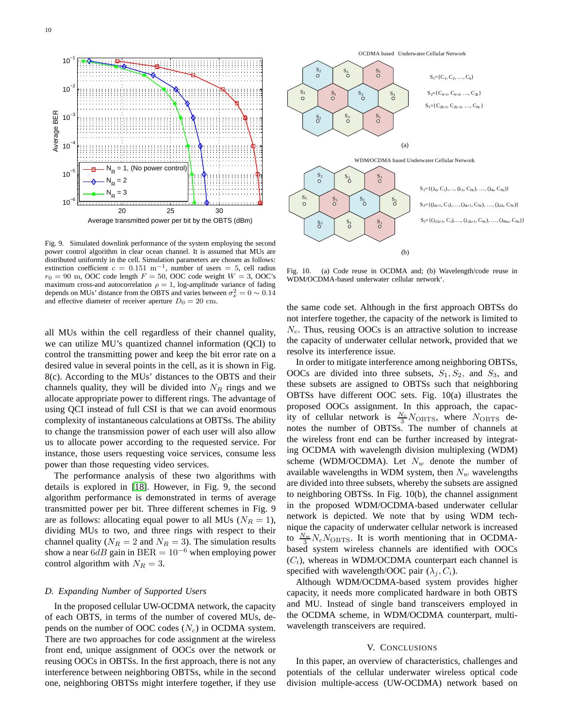10−1



power control algorithm in clear ocean channel. It is assumed that MUs are distributed uniformly in the cell. Simulation parameters are chosen as follows: extinction coefficient  $c = 0.151 \text{ m}^{-1}$ , number of users = 5, cell radius  $r_0 = 90$  m, OOC code length  $F = 50$ , OOC code weight  $W = 3$ , OOC's maximum cross-and autocorrelation  $\rho = 1$ , log-amplitude variance of fading depends on MUs' distance from the OBTS and varies between  $\sigma_x^2 = 0 \sim 0.14$ and effective diameter of receiver aperture  $D_0 = 20$  cm.

all MUs within the cell regardless of their channel quality, we can utilize MU's quantized channel information (QCI) to control the transmitting power and keep the bit error rate on a desired value in several points in the cell, as it is shown in Fig. 8(c). According to the MUs' distances to the OBTS and their channels quality, they will be divided into  $N_R$  rings and we allocate appropriate power to different rings. The advantage of using QCI instead of full CSI is that we can avoid enormous complexity of instantaneous calculations at OBTSs. The ability to change the transmission power of each user will also allow us to allocate power according to the requested service. For instance, those users requesting voice services, consume less power than those requesting video services.

The performance analysis of these two algorithms with details is explored in [\[18\]](#page-10-17). However, in Fig. 9, the second algorithm performance is demonstrated in terms of average transmitted power per bit. Three different schemes in Fig. 9 are as follows: allocating equal power to all MUs ( $N_R = 1$ ), dividing MUs to two, and three rings with respect to their channel quality ( $N_R = 2$  and  $N_R = 3$ ). The simulation results show a near 6dB gain in BER =  $10^{-6}$  when employing power control algorithm with  $N_R = 3$ .

### *D. Expanding Number of Supported Users*

In the proposed cellular UW-OCDMA network, the capacity of each OBTS, in terms of the number of covered MUs, depends on the number of OOC codes  $(N_c)$  in OCDMA system. There are two approaches for code assignment at the wireless front end, unique assignment of OOCs over the network or reusing OOCs in OBTSs. In the first approach, there is not any interference between neighboring OBTSs, while in the second one, neighboring OBTSs might interfere together, if they use OCDMA based Underwater Cellular Network



Fig. 10. (a) Code reuse in OCDMA and; (b) Wavelength/code reuse in WDM/OCDMA-based underwater cellular network'.

the same code set. Although in the first approach OBTSs do not interfere together, the capacity of the network is limited to  $N_c$ . Thus, reusing OOCs is an attractive solution to increase the capacity of underwater cellular network, provided that we resolve its interference issue.

In order to mitigate interference among neighboring OBTSs, OOCs are divided into three subsets,  $S_1, S_2$ , and  $S_3$ , and these subsets are assigned to OBTSs such that neighboring OBTSs have different OOC sets. Fig. 10(a) illustrates the proposed OOCs assignment. In this approach, the capacity of cellular network is  $\frac{N_c}{3} N_{\text{OBTS}}$ , where  $N_{\text{OBTS}}$  denotes the number of OBTSs. The number of channels at the wireless front end can be further increased by integrating OCDMA with wavelength division multiplexing (WDM) scheme (WDM/OCDMA). Let  $N_w$  denote the number of available wavelengths in WDM system, then  $N_w$  wavelengths are divided into three subsets, whereby the subsets are assigned to neighboring OBTSs. In Fig. 10(b), the channel assignment in the proposed WDM/OCDMA-based underwater cellular network is depicted. We note that by using WDM technique the capacity of underwater cellular network is increased to  $\frac{N_w}{3} N_c N_{\text{OBTS}}$ . It is worth mentioning that in OCDMAbased system wireless channels are identified with OOCs  $(C_i)$ , whereas in WDM/OCDMA counterpart each channel is specified with wavelength/OOC pair  $(\lambda_i, C_i)$ .

Although WDM/OCDMA-based system provides higher capacity, it needs more complicated hardware in both OBTS and MU. Instead of single band transceivers employed in the OCDMA scheme, in WDM/OCDMA counterpart, multiwavelength transceivers are required.

# V. CONCLUSIONS

In this paper, an overview of characteristics, challenges and potentials of the cellular underwater wireless optical code division multiple-access (UW-OCDMA) network based on